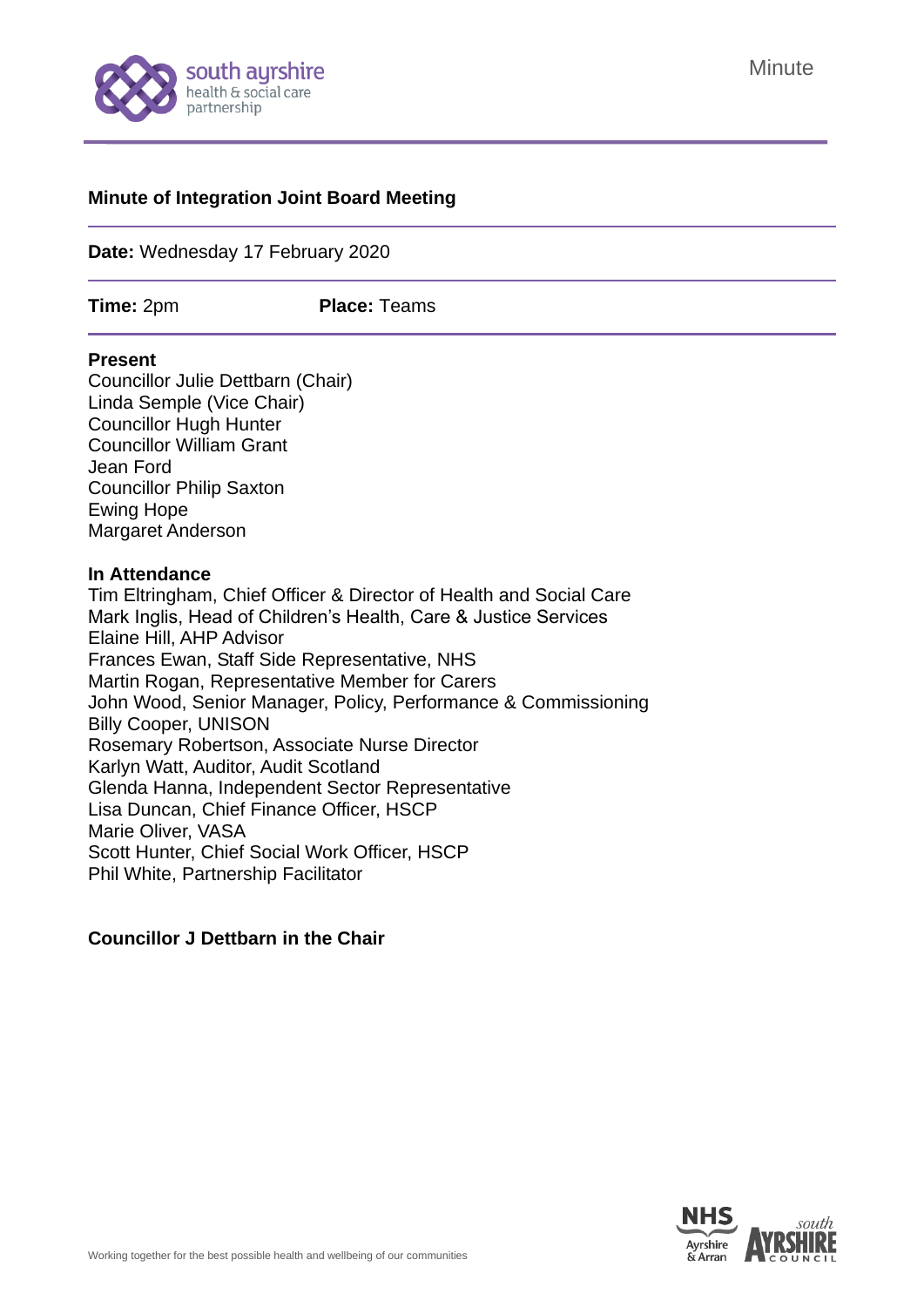

### **Minute of Integration Joint Board Meeting**

**Date:** Wednesday 17 February 2020

**Time:** 2pm **Place:** Teams

#### **Present**

Councillor Julie Dettbarn (Chair) Linda Semple (Vice Chair) Councillor Hugh Hunter Councillor William Grant Jean Ford Councillor Philip Saxton Ewing Hope Margaret Anderson

#### **In Attendance**

Tim Eltringham, Chief Officer & Director of Health and Social Care Mark Inglis, Head of Children's Health, Care & Justice Services Elaine Hill, AHP Advisor Frances Ewan, Staff Side Representative, NHS Martin Rogan, Representative Member for Carers John Wood, Senior Manager, Policy, Performance & Commissioning Billy Cooper, UNISON Rosemary Robertson, Associate Nurse Director Karlyn Watt, Auditor, Audit Scotland Glenda Hanna, Independent Sector Representative Lisa Duncan, Chief Finance Officer, HSCP Marie Oliver, VASA Scott Hunter, Chief Social Work Officer, HSCP Phil White, Partnership Facilitator

#### **Councillor J Dettbarn in the Chair**

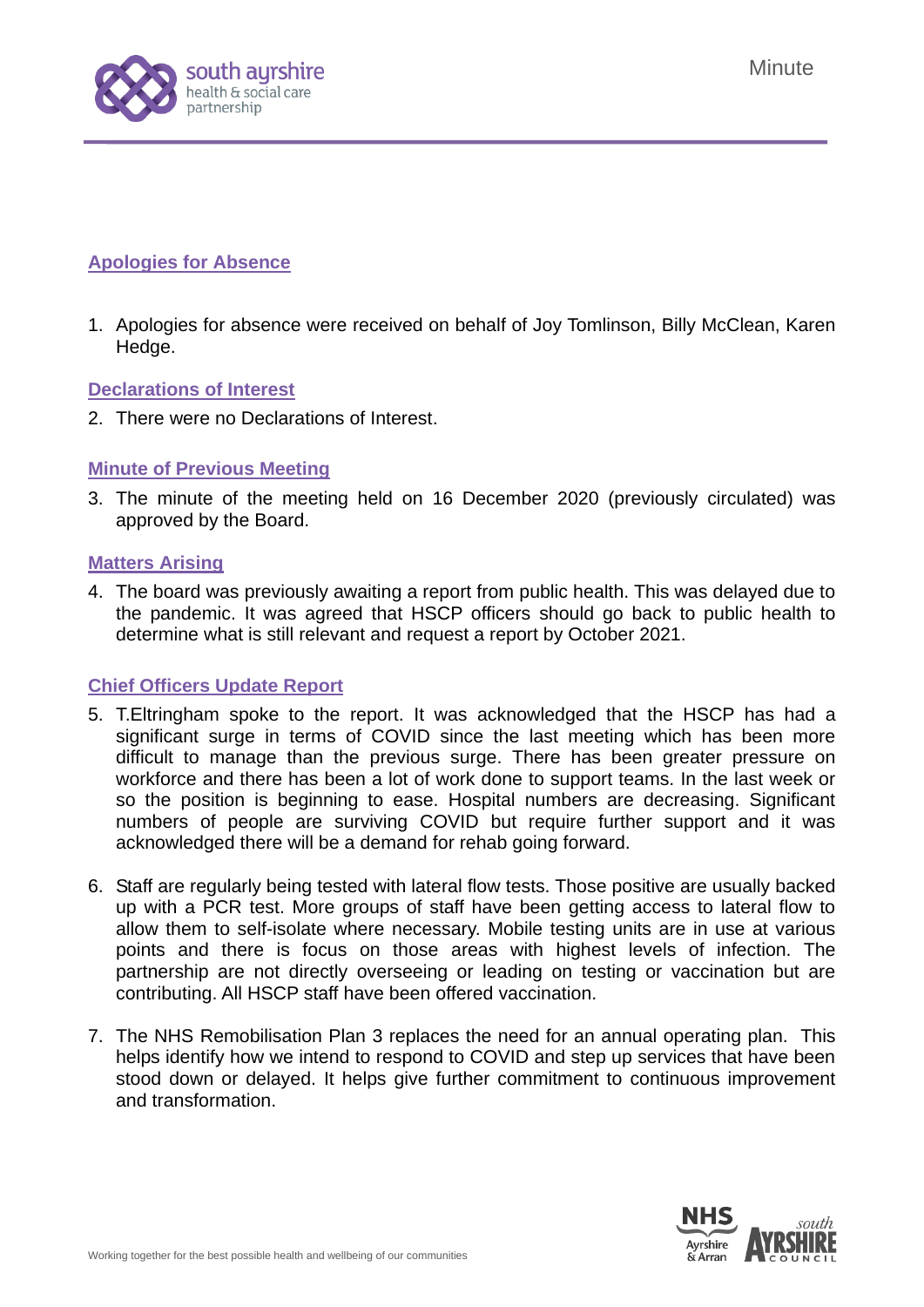

# **Apologies for Absence**

1. Apologies for absence were received on behalf of Joy Tomlinson, Billy McClean, Karen Hedge.

## **Declarations of Interest**

2. There were no Declarations of Interest.

# **Minute of Previous Meeting**

3. The minute of the meeting held on 16 December 2020 [\(previously circulated\)](https://www.south-ayrshire.gov.uk/health-social-care-partnership/documents/item%203%20-%20ijb%20minute%2025.11.20%20ijb%202020%2012%2016.pdf) was approved by the Board.

## **Matters Arising**

4. The board was previously awaiting a report from public health. This was delayed due to the pandemic. It was agreed that HSCP officers should go back to public health to determine what is still relevant and request a report by October 2021.

# **Chief Officers Update Report**

- 5. T.Eltringham spoke to the report. It was acknowledged that the HSCP has had a significant surge in terms of COVID since the last meeting which has been more difficult to manage than the previous surge. There has been greater pressure on workforce and there has been a lot of work done to support teams. In the last week or so the position is beginning to ease. Hospital numbers are decreasing. Significant numbers of people are surviving COVID but require further support and it was acknowledged there will be a demand for rehab going forward.
- 6. Staff are regularly being tested with lateral flow tests. Those positive are usually backed up with a PCR test. More groups of staff have been getting access to lateral flow to allow them to self-isolate where necessary. Mobile testing units are in use at various points and there is focus on those areas with highest levels of infection. The partnership are not directly overseeing or leading on testing or vaccination but are contributing. All HSCP staff have been offered vaccination.
- 7. The NHS Remobilisation Plan 3 replaces the need for an annual operating plan. This helps identify how we intend to respond to COVID and step up services that have been stood down or delayed. It helps give further commitment to continuous improvement and transformation.

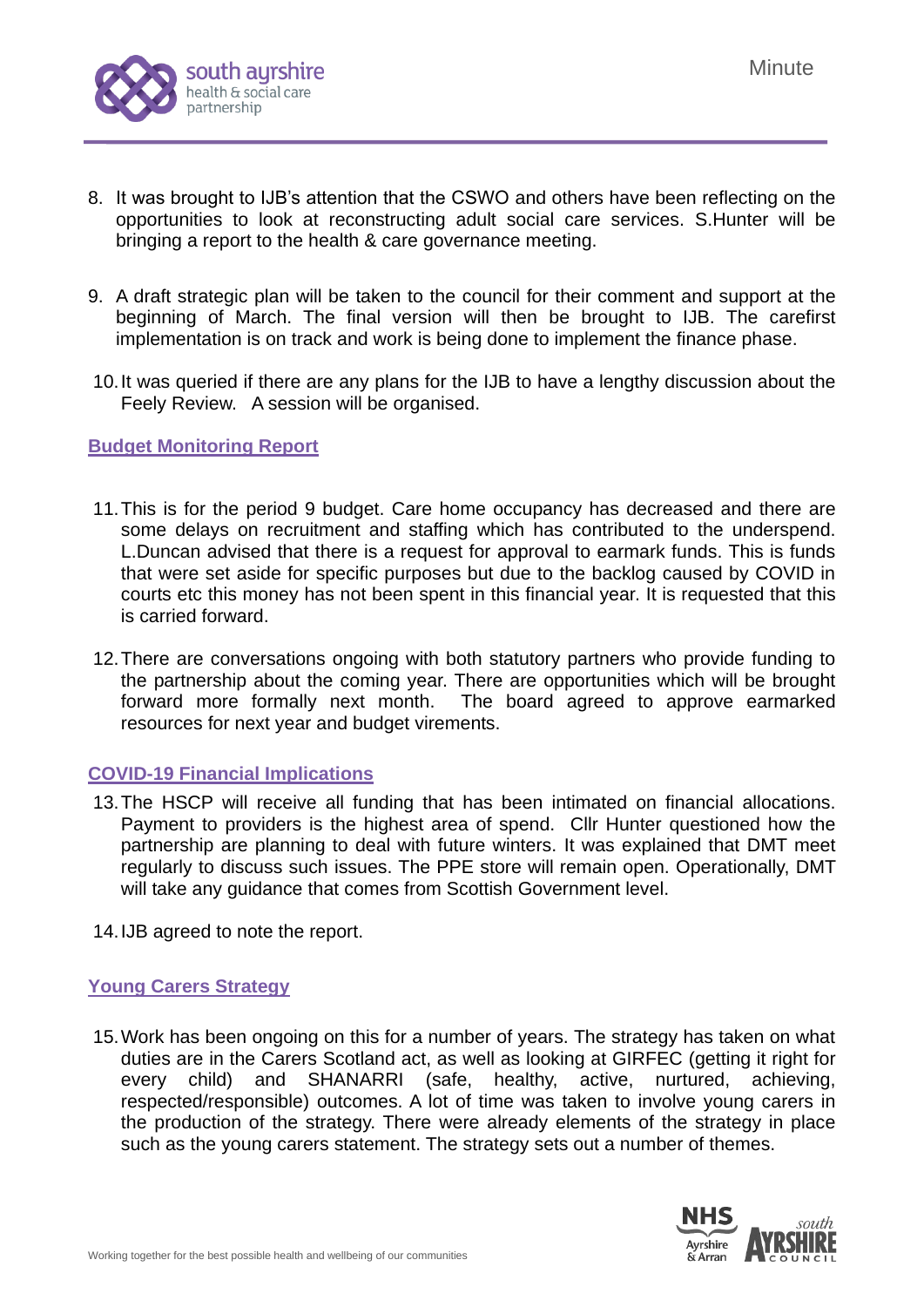

- 8. It was brought to IJB's attention that the CSWO and others have been reflecting on the opportunities to look at reconstructing adult social care services. S.Hunter will be bringing a report to the health & care governance meeting.
- 9. A draft strategic plan will be taken to the council for their comment and support at the beginning of March. The final version will then be brought to IJB. The carefirst implementation is on track and work is being done to implement the finance phase.
- 10.It was queried if there are any plans for the IJB to have a lengthy discussion about the Feely Review. A session will be organised.

### **Budget Monitoring Report**

- 11.This is for the period 9 budget. Care home occupancy has decreased and there are some delays on recruitment and staffing which has contributed to the underspend. L.Duncan advised that there is a request for approval to earmark funds. This is funds that were set aside for specific purposes but due to the backlog caused by COVID in courts etc this money has not been spent in this financial year. It is requested that this is carried forward.
- 12.There are conversations ongoing with both statutory partners who provide funding to the partnership about the coming year. There are opportunities which will be brought forward more formally next month. The board agreed to approve earmarked resources for next year and budget virements.

### **COVID-19 Financial Implications**

- 13.The HSCP will receive all funding that has been intimated on financial allocations. Payment to providers is the highest area of spend. Cllr Hunter questioned how the partnership are planning to deal with future winters. It was explained that DMT meet regularly to discuss such issues. The PPE store will remain open. Operationally, DMT will take any guidance that comes from Scottish Government level.
- 14.IJB agreed to note the report.

### **Young Carers Strategy**

15.Work has been ongoing on this for a number of years. The strategy has taken on what duties are in the Carers Scotland act, as well as looking at GIRFEC (getting it right for every child) and SHANARRI (safe, healthy, active, nurtured, achieving, respected/responsible) outcomes. A lot of time was taken to involve young carers in the production of the strategy. There were already elements of the strategy in place such as the young carers statement. The strategy sets out a number of themes.

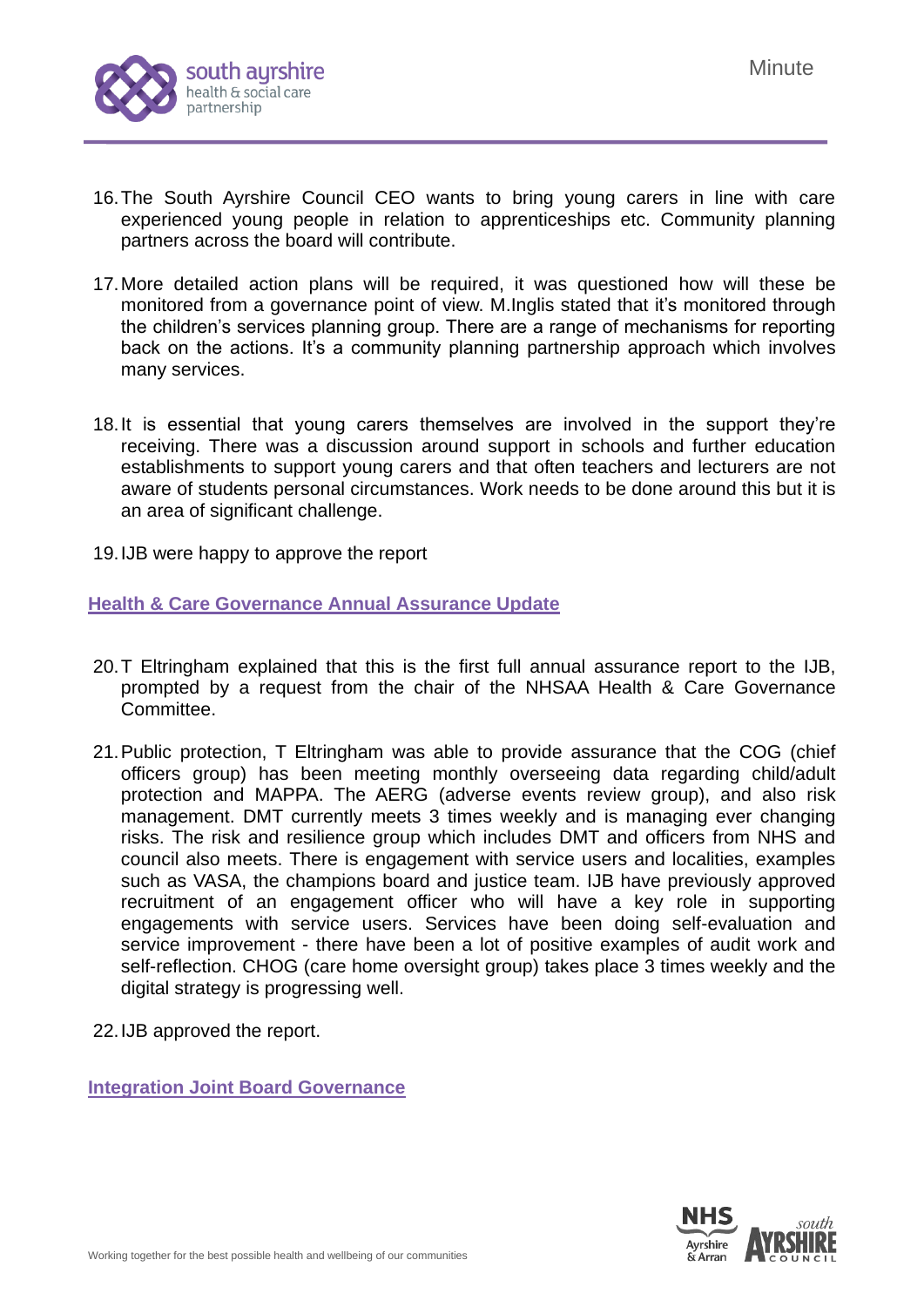

- 16.The South Ayrshire Council CEO wants to bring young carers in line with care experienced young people in relation to apprenticeships etc. Community planning partners across the board will contribute.
- 17.More detailed action plans will be required, it was questioned how will these be monitored from a governance point of view. M.Inglis stated that it's monitored through the children's services planning group. There are a range of mechanisms for reporting back on the actions. It's a community planning partnership approach which involves many services.
- 18.It is essential that young carers themselves are involved in the support they're receiving. There was a discussion around support in schools and further education establishments to support young carers and that often teachers and lecturers are not aware of students personal circumstances. Work needs to be done around this but it is an area of significant challenge.
- 19.IJB were happy to approve the report

## **Health & Care Governance Annual Assurance Update**

- 20.T Eltringham explained that this is the first full annual assurance report to the IJB, prompted by a request from the chair of the NHSAA Health & Care Governance Committee.
- 21.Public protection, T Eltringham was able to provide assurance that the COG (chief officers group) has been meeting monthly overseeing data regarding child/adult protection and MAPPA. The AERG (adverse events review group), and also risk management. DMT currently meets 3 times weekly and is managing ever changing risks. The risk and resilience group which includes DMT and officers from NHS and council also meets. There is engagement with service users and localities, examples such as VASA, the champions board and justice team. IJB have previously approved recruitment of an engagement officer who will have a key role in supporting engagements with service users. Services have been doing self-evaluation and service improvement - there have been a lot of positive examples of audit work and self-reflection. CHOG (care home oversight group) takes place 3 times weekly and the digital strategy is progressing well.
- 22.IJB approved the report.

**Integration Joint Board Governance**